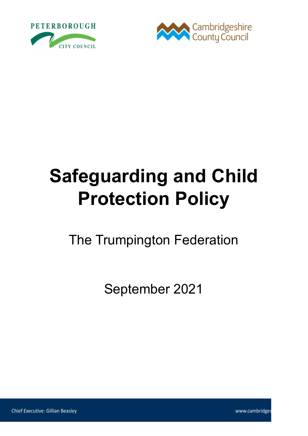



# **Safeguarding and Child Protection Policy**

The Trumpington Federation

September 2021

www.cambridges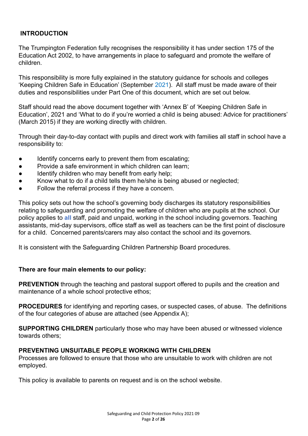#### **INTRODUCTION**

The Trumpington Federation fully recognises the responsibility it has under section 175 of the Education Act 2002, to have arrangements in place to safeguard and promote the welfare of children.

This responsibility is more fully explained in the statutory guidance for schools and colleges 'Keeping Children Safe in Education' (September 2021). All staff must be made aware of their duties and responsibilities under Part One of this document, which are set out below.

Staff should read the above document together with 'Annex B' of 'Keeping Children Safe in Education', 2021 and 'What to do if you're worried a child is being abused: Advice for practitioners' (March 2015) if they are working directly with children.

Through their day-to-day contact with pupils and direct work with families all staff in school have a responsibility to:

- Identify concerns early to prevent them from escalating;
- Provide a safe environment in which children can learn;
- Identify children who may benefit from early help;
- Know what to do if a child tells them he/she is being abused or neglected;
- Follow the referral process if they have a concern.

This policy sets out how the school's governing body discharges its statutory responsibilities relating to safeguarding and promoting the welfare of children who are pupils at the school. Our policy applies to **all** staff, paid and unpaid, working in the school including governors. Teaching assistants, mid-day supervisors, office staff as well as teachers can be the first point of disclosure for a child. Concerned parents/carers may also contact the school and its governors.

It is consistent with the Safeguarding Children Partnership Board procedures.

#### **There are four main elements to our policy:**

**PREVENTION** through the teaching and pastoral support offered to pupils and the creation and maintenance of a whole school protective ethos;

**PROCEDURES** for identifying and reporting cases, or suspected cases, of abuse. The definitions of the four categories of abuse are attached (see Appendix A);

**SUPPORTING CHILDREN** particularly those who may have been abused or witnessed violence towards others;

#### **PREVENTING UNSUITABLE PEOPLE WORKING WITH CHILDREN**

Processes are followed to ensure that those who are unsuitable to work with children are not employed.

This policy is available to parents on request and is on the school website.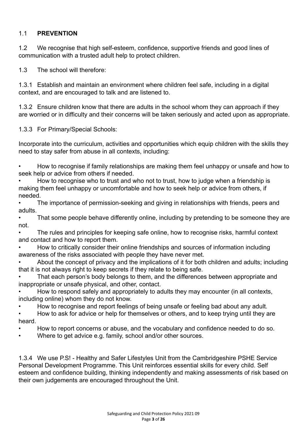#### 1.1 **PREVENTION**

1.2 We recognise that high self-esteem, confidence, supportive friends and good lines of communication with a trusted adult help to protect children.

1.3 The school will therefore:

1.3.1 Establish and maintain an environment where children feel safe, including in a digital context, and are encouraged to talk and are listened to.

1.3.2 Ensure children know that there are adults in the school whom they can approach if they are worried or in difficulty and their concerns will be taken seriously and acted upon as appropriate.

1.3.3 For Primary/Special Schools:

Incorporate into the curriculum, activities and opportunities which equip children with the skills they need to stay safer from abuse in all contexts, including:

• How to recognise if family relationships are making them feel unhappy or unsafe and how to seek help or advice from others if needed.

• How to recognise who to trust and who not to trust, how to judge when a friendship is making them feel unhappy or uncomfortable and how to seek help or advice from others, if needed.

• The importance of permission-seeking and giving in relationships with friends, peers and adults.

That some people behave differently online, including by pretending to be someone they are not.

• The rules and principles for keeping safe online, how to recognise risks, harmful context and contact and how to report them.

• How to critically consider their online friendships and sources of information including awareness of the risks associated with people they have never met.

• About the concept of privacy and the implications of it for both children and adults; including that it is not always right to keep secrets if they relate to being safe.

• That each person's body belongs to them, and the differences between appropriate and inappropriate or unsafe physical, and other, contact.

• How to respond safely and appropriately to adults they may encounter (in all contexts, including online) whom they do not know.

• How to recognise and report feelings of being unsafe or feeling bad about any adult.

• How to ask for advice or help for themselves or others, and to keep trying until they are heard.

- How to report concerns or abuse, and the vocabulary and confidence needed to do so.
- Where to get advice e.g. family, school and/or other sources.

1.3.4 We use P.S! - Healthy and Safer Lifestyles Unit from the Cambridgeshire PSHE Service Personal Development Programme. This Unit reinforces essential skills for every child. Self esteem and confidence building, thinking independently and making assessments of risk based on their own judgements are encouraged throughout the Unit.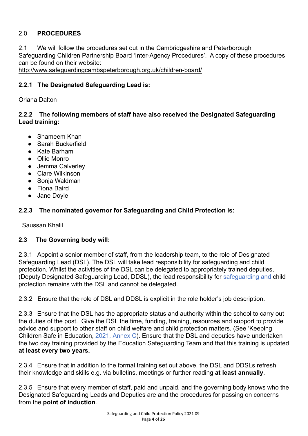#### 2.0 **PROCEDURES**

2.1 We will follow the procedures set out in the Cambridgeshire and Peterborough Safeguarding Children Partnership Board 'Inter-Agency Procedures'. A copy of these procedures can be found on their website:

<http://www.safeguardingcambspeterborough.org.uk/children-board/>

#### **2.2.1 The Designated Safeguarding Lead is:**

Oriana Dalton

#### **2.2.2 The following members of staff have also received the Designated Safeguarding Lead training:**

- Shameem Khan
- Sarah Buckerfield
- Kate Barham
- Ollie Monro
- Jemma Calverlev
- Clare Wilkinson
- Sonja Waldman
- Fiona Baird
- Jane Doyle

#### **2.2.3 The nominated governor for Safeguarding and Child Protection is:**

Saussan Khalil

#### **2.3 The Governing body will:**

2.3.1 Appoint a senior member of staff, from the leadership team, to the role of Designated Safeguarding Lead (DSL). The DSL will take lead responsibility for safeguarding and child protection. Whilst the activities of the DSL can be delegated to appropriately trained deputies, (Deputy Designated Safeguarding Lead, DDSL), the lead responsibility for safeguarding and child protection remains with the DSL and cannot be delegated.

2.3.2 Ensure that the role of DSL and DDSL is explicit in the role holder's job description.

2.3.3 Ensure that the DSL has the appropriate status and authority within the school to carry out the duties of the post. Give the DSL the time, funding, training, resources and support to provide advice and support to other staff on child welfare and child protection matters. (See 'Keeping Children Safe in Education, 2021, Annex C). Ensure that the DSL and deputies have undertaken the two day training provided by the Education Safeguarding Team and that this training is updated **at least every two years.**

2.3.4 Ensure that in addition to the formal training set out above, the DSL and DDSLs refresh their knowledge and skills e.g. via bulletins, meetings or further reading **at least annually**.

2.3.5 Ensure that every member of staff, paid and unpaid, and the governing body knows who the Designated Safeguarding Leads and Deputies are and the procedures for passing on concerns from the **point of induction**.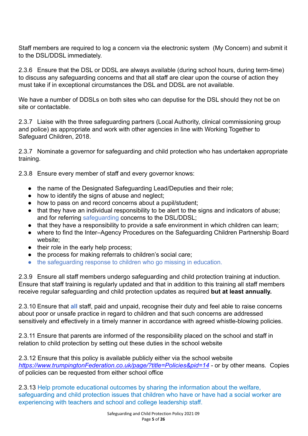Staff members are required to log a concern via the electronic system (My Concern) and submit it to the DSL/DDSL immediately.

2.3.6 Ensure that the DSL or DDSL are always available (during school hours, during term-time) to discuss any safeguarding concerns and that all staff are clear upon the course of action they must take if in exceptional circumstances the DSL and DDSL are not available.

We have a number of DDSLs on both sites who can deputise for the DSL should they not be on site or contactable.

2.3.7 Liaise with the three safeguarding partners (Local Authority, clinical commissioning group and police) as appropriate and work with other agencies in line with Working Together to Safeguard Children, 2018.

2.3.7 Nominate a governor for safeguarding and child protection who has undertaken appropriate training.

2.3.8 Ensure every member of staff and every governor knows:

- the name of the Designated Safeguarding Lead/Deputies and their role;
- how to identify the signs of abuse and neglect;
- how to pass on and record concerns about a pupil/student;
- that they have an individual responsibility to be alert to the signs and indicators of abuse; and for referring safeguarding concerns to the DSL/DDSL;
- that they have a responsibility to provide a safe environment in which children can learn;
- where to find the Inter–Agency Procedures on the Safeguarding Children Partnership Board website;
- their role in the early help process;
- the process for making referrals to children's social care;
- the safeguarding response to children who go missing in education.

2.3.9 Ensure all staff members undergo safeguarding and child protection training at induction. Ensure that staff training is regularly updated and that in addition to this training all staff members receive regular safeguarding and child protection updates as required **but at least annually.**

2.3.10 Ensure that **all** staff, paid and unpaid, recognise their duty and feel able to raise concerns about poor or unsafe practice in regard to children and that such concerns are addressed sensitively and effectively in a timely manner in accordance with agreed whistle-blowing policies.

2.3.11 Ensure that parents are informed of the responsibility placed on the school and staff in relation to child protection by setting out these duties in the school website

2.3.12 Ensure that this policy is available publicly either via the school website *[https://www.trumpingtonFederation.co.uk/page/?title=Policies&pid=14](https://www.trumpingtonfederation.co.uk/page/?title=Policies&pid=14) -* or by other means*.* Copies of policies can be requested from either school office

2.3.13 Help promote educational outcomes by sharing the information about the welfare, safeguarding and child protection issues that children who have or have had a social worker are experiencing with teachers and school and college leadership staff.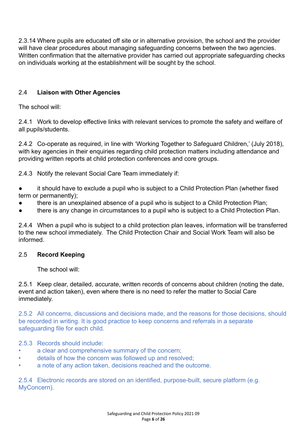2.3.14 Where pupils are educated off site or in alternative provision, the school and the provider will have clear procedures about managing safeguarding concerns between the two agencies. Written confirmation that the alternative provider has carried out appropriate safeguarding checks on individuals working at the establishment will be sought by the school.

#### 2.4 **Liaison with Other Agencies**

The school will:

2.4.1 Work to develop effective links with relevant services to promote the safety and welfare of all pupils/students.

2.4.2 Co-operate as required, in line with 'Working Together to Safeguard Children,' (July 2018), with key agencies in their enquiries regarding child protection matters including attendance and providing written reports at child protection conferences and core groups.

2.4.3 Notify the relevant Social Care Team immediately if:

- it should have to exclude a pupil who is subject to a Child Protection Plan (whether fixed term or permanently);
- there is an unexplained absence of a pupil who is subject to a Child Protection Plan;
- there is any change in circumstances to a pupil who is subject to a Child Protection Plan.

2.4.4 When a pupil who is subject to a child protection plan leaves, information will be transferred to the new school immediately. The Child Protection Chair and Social Work Team will also be informed.

#### 2.5 **Record Keeping**

The school will:

2.5.1 Keep clear, detailed, accurate, written records of concerns about children (noting the date, event and action taken), even where there is no need to refer the matter to Social Care immediately.

2.5.2 All concerns, discussions and decisions made, and the reasons for those decisions, should be recorded in writing. It is good practice to keep concerns and referrals in a separate safeguarding file for each child.

#### 2.5.3 Records should include:

- a clear and comprehensive summary of the concern;
- details of how the concern was followed up and resolved;
- a note of any action taken, decisions reached and the outcome.

2.5.4 Electronic records are stored on an identified, purpose-built, secure platform (e.g. MyConcern).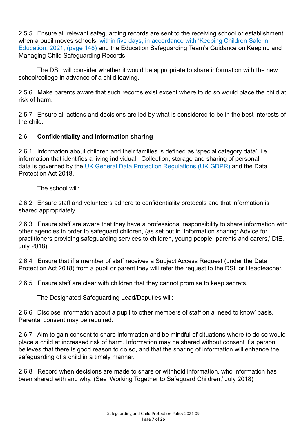2.5.5 Ensure all relevant safeguarding records are sent to the receiving school or establishment when a pupil moves schools, within five days, in accordance with 'Keeping Children Safe in Education, 2021, (page 148) and the Education Safeguarding Team's Guidance on Keeping and Managing Child Safeguarding Records.

The DSL will consider whether it would be appropriate to share information with the new school/college in advance of a child leaving.

2.5.6 Make parents aware that such records exist except where to do so would place the child at risk of harm.

2.5.7 Ensure all actions and decisions are led by what is considered to be in the best interests of the child.

#### 2.6 **Confidentiality and information sharing**

2.6.1 Information about children and their families is defined as 'special category data', i.e. information that identifies a living individual. Collection, storage and sharing of personal data is governed by the UK General Data Protection Regulations (UK GDPR) and the Data Protection Act 2018.

The school will:

2.6.2 Ensure staff and volunteers adhere to confidentiality protocols and that information is shared appropriately.

2.6.3 Ensure staff are aware that they have a professional responsibility to share information with other agencies in order to safeguard children, (as set out in 'Information sharing; Advice for practitioners providing safeguarding services to children, young people, parents and carers,' DfE, July 2018).

2.6.4 Ensure that if a member of staff receives a Subject Access Request (under the Data Protection Act 2018) from a pupil or parent they will refer the request to the DSL or Headteacher.

2.6.5 Ensure staff are clear with children that they cannot promise to keep secrets.

The Designated Safeguarding Lead/Deputies will:

2.6.6 Disclose information about a pupil to other members of staff on a 'need to know' basis. Parental consent may be required.

2.6.7 Aim to gain consent to share information and be mindful of situations where to do so would place a child at increased risk of harm. Information may be shared without consent if a person believes that there is good reason to do so, and that the sharing of information will enhance the safeguarding of a child in a timely manner.

2.6.8 Record when decisions are made to share or withhold information, who information has been shared with and why. (See 'Working Together to Safeguard Children,' July 2018)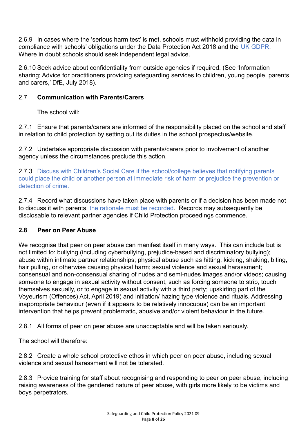2.6.9 In cases where the 'serious harm test' is met, schools must withhold providing the data in compliance with schools' obligations under the Data Protection Act 2018 and the UK GDPR. Where in doubt schools should seek independent legal advice.

2.6.10 Seek advice about confidentiality from outside agencies if required. (See 'Information sharing; Advice for practitioners providing safeguarding services to children, young people, parents and carers,' DfE, July 2018).

#### 2.7 **Communication with Parents/Carers**

The school will:

2.7.1 Ensure that parents/carers are informed of the responsibility placed on the school and staff in relation to child protection by setting out its duties in the school prospectus/website.

2.7.2 Undertake appropriate discussion with parents/carers prior to involvement of another agency unless the circumstances preclude this action.

2.7.3 Discuss with Children's Social Care if the school/college believes that notifying parents could place the child or another person at immediate risk of harm or prejudice the prevention or detection of crime.

2.7.4 Record what discussions have taken place with parents or if a decision has been made not to discuss it with parents, the rationale must be recorded. Records may subsequently be disclosable to relevant partner agencies if Child Protection proceedings commence.

#### **2.8 Peer on Peer Abuse**

We recognise that peer on peer abuse can manifest itself in many ways. This can include but is not limited to: bullying (including cyberbullying, prejudice-based and discriminatory bullying); abuse within intimate partner relationships; physical abuse such as hitting, kicking, shaking, biting, hair pulling, or otherwise causing physical harm; sexual violence and sexual harassment; consensual and non-consensual sharing of nudes and semi-nudes images and/or videos; causing someone to engage in sexual activity without consent, such as forcing someone to strip, touch themselves sexually, or to engage in sexual activity with a third party; upskirting part of the Voyeurism (Offences) Act, April 2019) and initiation/ hazing type violence and rituals. Addressing inappropriate behaviour (even if it appears to be relatively innocuous) can be an important intervention that helps prevent problematic, abusive and/or violent behaviour in the future.

2.8.1 All forms of peer on peer abuse are unacceptable and will be taken seriously.

The school will therefore:

2.8.2 Create a whole school protective ethos in which peer on peer abuse, including sexual violence and sexual harassment will not be tolerated.

2.8.3 Provide training for staff about recognising and responding to peer on peer abuse, including raising awareness of the gendered nature of peer abuse, with girls more likely to be victims and boys perpetrators.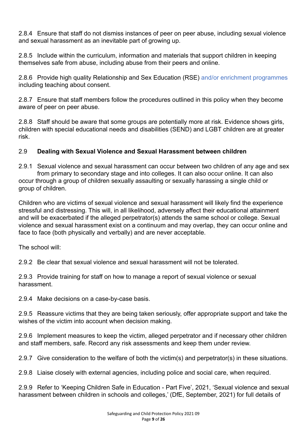2.8.4 Ensure that staff do not dismiss instances of peer on peer abuse, including sexual violence and sexual harassment as an inevitable part of growing up.

2.8.5 Include within the curriculum, information and materials that support children in keeping themselves safe from abuse, including abuse from their peers and online.

2.8.6 Provide high quality Relationship and Sex Education (RSE) and/or enrichment programmes including teaching about consent.

2.8.7 Ensure that staff members follow the procedures outlined in this policy when they become aware of peer on peer abuse.

2.8.8 Staff should be aware that some groups are potentially more at risk. Evidence shows girls, children with special educational needs and disabilities (SEND) and LGBT children are at greater risk.

#### 2.9 **Dealing with Sexual Violence and Sexual Harassment between children**

2.9.1 Sexual violence and sexual harassment can occur between two children of any age and sex from primary to secondary stage and into colleges. It can also occur online. It can also occur through a group of children sexually assaulting or sexually harassing a single child or group of children.

Children who are victims of sexual violence and sexual harassment will likely find the experience stressful and distressing. This will, in all likelihood, adversely affect their educational attainment and will be exacerbated if the alleged perpetrator(s) attends the same school or college. Sexual violence and sexual harassment exist on a continuum and may overlap, they can occur online and face to face (both physically and verbally) and are never acceptable.

The school will:

2.9.2 Be clear that sexual violence and sexual harassment will not be tolerated.

2.9.3 Provide training for staff on how to manage a report of sexual violence or sexual harassment.

2.9.4 Make decisions on a case-by-case basis.

2.9.5 Reassure victims that they are being taken seriously, offer appropriate support and take the wishes of the victim into account when decision making.

2.9.6 Implement measures to keep the victim, alleged perpetrator and if necessary other children and staff members, safe. Record any risk assessments and keep them under review.

2.9.7 Give consideration to the welfare of both the victim(s) and perpetrator(s) in these situations.

2.9.8 Liaise closely with external agencies, including police and social care, when required.

2.9.9 Refer to 'Keeping Children Safe in Education - Part Five', 2021, 'Sexual violence and sexual harassment between children in schools and colleges,' (DfE, September, 2021) for full details of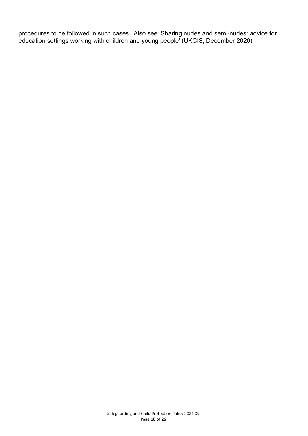procedures to be followed in such cases. Also see 'Sharing nudes and semi-nudes: advice for education settings working with children and young people' (UKCIS, December 2020)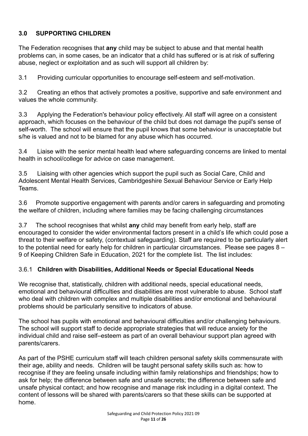#### **3.0 SUPPORTING CHILDREN**

The Federation recognises that **any** child may be subject to abuse and that mental health problems can, in some cases, be an indicator that a child has suffered or is at risk of suffering abuse, neglect or exploitation and as such will support all children by:

3.1 Providing curricular opportunities to encourage self-esteem and self-motivation.

3.2 Creating an ethos that actively promotes a positive, supportive and safe environment and values the whole community.

3.3 Applying the Federation's behaviour policy effectively. All staff will agree on a consistent approach, which focuses on the behaviour of the child but does not damage the pupil's sense of self-worth. The school will ensure that the pupil knows that some behaviour is unacceptable but s/he is valued and not to be blamed for any abuse which has occurred.

3.4 Liaise with the senior mental health lead where safeguarding concerns are linked to mental health in school/college for advice on case management.

3.5 Liaising with other agencies which support the pupil such as Social Care, Child and Adolescent Mental Health Services, Cambridgeshire Sexual Behaviour Service or Early Help Teams.

3.6 Promote supportive engagement with parents and/or carers in safeguarding and promoting the welfare of children, including where families may be facing challenging circumstances

3.7 The school recognises that whilst **any** child may benefit from early help, staff are encouraged to consider the wider environmental factors present in a child's life which could pose a threat to their welfare or safety, (contextual safeguarding). Staff are required to be particularly alert to the potential need for early help for children in particular circumstances. Please see pages 8 – 9 of Keeping Children Safe in Education, 2021 for the complete list. The list includes:

#### 3.6.1 **Children with Disabilities, Additional Needs or Special Educational Needs**

We recognise that, statistically, children with additional needs, special educational needs, emotional and behavioural difficulties and disabilities are most vulnerable to abuse. School staff who deal with children with complex and multiple disabilities and/or emotional and behavioural problems should be particularly sensitive to indicators of abuse*.*

The school has pupils with emotional and behavioural difficulties and/or challenging behaviours. The school will support staff to decide appropriate strategies that will reduce anxiety for the individual child and raise self–esteem as part of an overall behaviour support plan agreed with parents/carers.

As part of the PSHE curriculum staff will teach children personal safety skills commensurate with their age, ability and needs. Children will be taught personal safety skills such as: how to recognise if they are feeling unsafe including within family relationships and friendships; how to ask for help; the difference between safe and unsafe secrets; the difference between safe and unsafe physical contact; and how recognise and manage risk including in a digital context. The content of lessons will be shared with parents/carers so that these skills can be supported at home.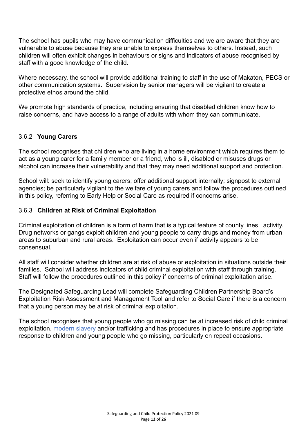The school has pupils who may have communication difficulties and we are aware that they are vulnerable to abuse because they are unable to express themselves to others. Instead, such children will often exhibit changes in behaviours or signs and indicators of abuse recognised by staff with a good knowledge of the child.

Where necessary, the school will provide additional training to staff in the use of Makaton, PECS or other communication systems. Supervision by senior managers will be vigilant to create a protective ethos around the child.

We promote high standards of practice, including ensuring that disabled children know how to raise concerns, and have access to a range of adults with whom they can communicate.

#### 3.6.2 **Young Carers**

The school recognises that children who are living in a home environment which requires them to act as a young carer for a family member or a friend, who is ill, disabled or misuses drugs or alcohol can increase their vulnerability and that they may need additional support and protection.

School will: seek to identify young carers; offer additional support internally; signpost to external agencies; be particularly vigilant to the welfare of young carers and follow the procedures outlined in this policy, referring to Early Help or Social Care as required if concerns arise.

#### 3.6.3 **Children at Risk of Criminal Exploitation**

Criminal exploitation of children is a form of harm that is a typical feature of county lines activity. Drug networks or gangs exploit children and young people to carry drugs and money from urban areas to suburban and rural areas. Exploitation can occur even if activity appears to be consensual.

All staff will consider whether children are at risk of abuse or exploitation in situations outside their families. School will address indicators of child criminal exploitation with staff through training. Staff will follow the procedures outlined in this policy if concerns of criminal exploitation arise.

The Designated Safeguarding Lead will complete Safeguarding Children Partnership Board's [Exploitation Risk Assessment and Management Tool](http://www.safeguardingcambspeterborough.org.uk/wp-content/uploads/2018/05/Exploitation-CSECCE-Risk-Assessment-Tool.docx) and refer to Social Care if there is a concern that a young person may be at risk of criminal exploitation.

The school recognises that young people who go missing can be at increased risk of child criminal exploitation, modern slavery and/or trafficking and has procedures in place to ensure appropriate response to children and young people who go missing, particularly on repeat occasions.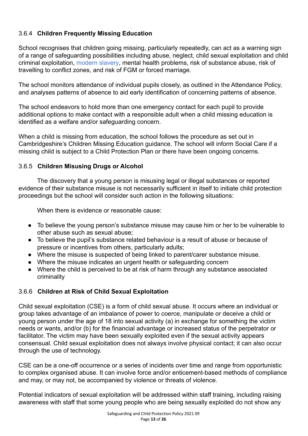#### 3.6.4 **Children Frequently Missing Education**

School recognises that children going missing, particularly repeatedly, can act as a warning sign of a range of safeguarding possibilities including abuse, neglect, child sexual exploitation and child criminal exploitation, modern slavery, mental health problems, risk of substance abuse, risk of travelling to conflict zones, and risk of FGM or forced marriage.

The school monitors attendance of individual pupils closely, as outlined in the Attendance Policy, and analyses patterns of absence to aid early identification of concerning patterns of absence.

The school endeavors to hold more than one emergency contact for each pupil to provide additional options to make contact with a responsible adult when a child missing education is identified as a welfare and/or safeguarding concern.

When a child is missing from education, the school follows the procedure as set out in Cambridgeshire's Children Missing Education guidance. The school will inform Social Care if a missing child is subject to a Child Protection Plan or there have been ongoing concerns.

#### 3.6.5 **Children Misusing Drugs or Alcohol**

The discovery that a young person is misusing legal or illegal substances or reported evidence of their substance misuse is not necessarily sufficient in itself to initiate child protection proceedings but the school will consider such action in the following situations:

When there is evidence or reasonable cause:

- To believe the young person's substance misuse may cause him or her to be vulnerable to other abuse such as sexual abuse;
- To believe the pupil's substance related behaviour is a result of abuse or because of pressure or incentives from others, particularly adults;
- Where the misuse is suspected of being linked to parent/carer substance misuse.
- Where the misuse indicates an urgent health or safeguarding concern
- Where the child is perceived to be at risk of harm through any substance associated criminality

#### 3.6.6 **Children at Risk of Child Sexual Exploitation**

Child sexual exploitation (CSE) is a form of child sexual abuse. It occurs where an individual or group takes advantage of an imbalance of power to coerce, manipulate or deceive a child or young person under the age of 18 into sexual activity (a) in exchange for something the victim needs or wants, and/or (b) for the financial advantage or increased status of the perpetrator or facilitator. The victim may have been sexually exploited even if the sexual activity appears consensual. Child sexual exploitation does not always involve physical contact; it can also occur through the use of technology.

CSE can be a one-off occurrence or a series of incidents over time and range from opportunistic to complex organised abuse. It can involve force and/or enticement-based methods of compliance and may, or may not, be accompanied by violence or threats of violence.

Potential indicators of sexual exploitation will be addressed within staff training, including raising awareness with staff that some young people who are being sexually exploited do not show any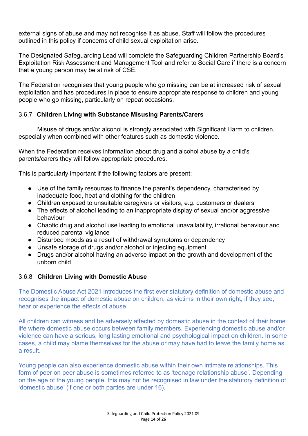external signs of abuse and may not recognise it as abuse. Staff will follow the procedures outlined in this policy if concerns of child sexual exploitation arise.

The Designated Safeguarding Lead will complete the Safeguarding Children Partnership Board's [Exploitation Risk Assessment and Management Tool](http://www.safeguardingcambspeterborough.org.uk/wp-content/uploads/2018/05/Exploitation-CSECCE-Risk-Assessment-Tool.docx) and refer to Social Care if there is a concern that a young person may be at risk of CSE.

The Federation recognises that young people who go missing can be at increased risk of sexual exploitation and has procedures in place to ensure appropriate response to children and young people who go missing, particularly on repeat occasions.

#### 3.6.7 **Children Living with Substance Misusing Parents/Carers**

Misuse of drugs and/or alcohol is strongly associated with Significant Harm to children, especially when combined with other features such as domestic violence.

When the Federation receives information about drug and alcohol abuse by a child's parents/carers they will follow appropriate procedures.

This is particularly important if the following factors are present:

- Use of the family resources to finance the parent's dependency, characterised by inadequate food, heat and clothing for the children
- Children exposed to unsuitable caregivers or visitors, e.g. customers or dealers
- The effects of alcohol leading to an inappropriate display of sexual and/or aggressive behaviour
- Chaotic drug and alcohol use leading to emotional unavailability, irrational behaviour and reduced parental vigilance
- Disturbed moods as a result of withdrawal symptoms or dependency
- Unsafe storage of drugs and/or alcohol or injecting equipment
- Drugs and/or alcohol having an adverse impact on the growth and development of the unborn child

#### 3.6.8 **Children Living with Domestic Abuse**

The Domestic Abuse Act 2021 introduces the first ever statutory definition of domestic abuse and recognises the impact of domestic abuse on children, as victims in their own right, if they see, hear or experience the effects of abuse.

All children can witness and be adversely affected by domestic abuse in the context of their home life where domestic abuse occurs between family members. Experiencing domestic abuse and/or violence can have a serious, long lasting emotional and psychological impact on children. In some cases, a child may blame themselves for the abuse or may have had to leave the family home as a result.

Young people can also experience domestic abuse within their own intimate relationships. This form of peer on peer abuse is sometimes referred to as 'teenage relationship abuse'. Depending on the age of the young people, this may not be recognised in law under the statutory definition of 'domestic abuse' (if one or both parties are under 16).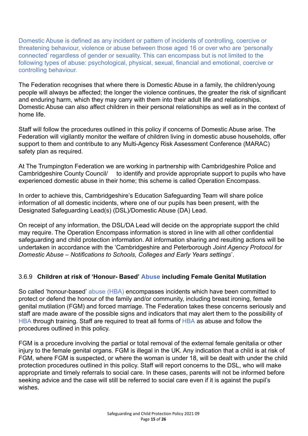Domestic Abuse is defined as any incident or pattern of incidents of controlling, coercive or threatening behaviour, violence or abuse between those aged 16 or over who are 'personally connected' regardless of gender or sexuality. This can encompass but is not limited to the following types of abuse: psychological, physical, sexual, financial and emotional, coercive or controlling behaviour.

The Federation recognises that where there is Domestic Abuse in a family, the children/young people will always be affected; the longer the violence continues, the greater the risk of significant and enduring harm, which they may carry with them into their adult life and relationships. Domestic Abuse can also affect children in their personal relationships as well as in the context of home life.

Staff will follow the procedures outlined in this policy if concerns of Domestic Abuse arise. The Federation will vigilantly monitor the welfare of children living in domestic abuse households, offer support to them and contribute to any Multi-Agency Risk Assessment Conference (MARAC) safety plan as required.

At The Trumpington Federation we are working in partnership with Cambridgeshire Police and Cambridgeshire County Council/ to identify and provide appropriate support to pupils who have experienced domestic abuse in their home; this scheme is called Operation Encompass.

In order to achieve this, Cambridgeshire's Education Safeguarding Team will share police information of all domestic incidents, where one of our pupils has been present, with the Designated Safeguarding Lead(s) (DSL)/Domestic Abuse (DA) Lead.

On receipt of any information, the DSL/DA Lead will decide on the appropriate support the child may require. The Operation Encompass information is stored in line with all other confidential safeguarding and child protection information. All information sharing and resulting actions will be undertaken in accordance with the 'Cambridgeshire and Peterborough *Joint Agency Protocol for Domestic Abuse – Notifications to Schools, Colleges and Early Years settings*'.

#### 3.6.9 **Children at risk of 'Honour- Based' Abuse including Female Genital Mutilation**

So called 'honour-based' abuse (HBA) encompasses incidents which have been committed to protect or defend the honour of the family and/or community, including breast ironing, female genital mutilation (FGM) and forced marriage. The Federation takes these concerns seriously and staff are made aware of the possible signs and indicators that may alert them to the possibility of HBA through training. Staff are required to treat all forms of HBA as abuse and follow the procedures outlined in this policy.

FGM is a procedure involving the partial or total removal of the external female genitalia or other injury to the female genital organs. FGM is illegal in the UK. Any indication that a child is at risk of FGM, where FGM is suspected, or where the woman is under 18, will be dealt with under the child protection procedures outlined in this policy. Staff will report concerns to the DSL, who will make appropriate and timely referrals to social care. In these cases, parents will not be informed before seeking advice and the case will still be referred to social care even if it is against the pupil's wishes.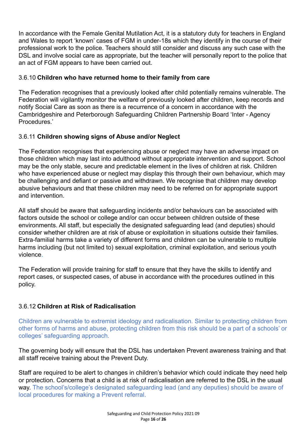In accordance with the Female Genital Mutilation Act, it is a statutory duty for teachers in England and Wales to report 'known' cases of FGM in under-18s which they identify in the course of their professional work to the police. Teachers should still consider and discuss any such case with the DSL and involve social care as appropriate, but the teacher will personally report to the police that an act of FGM appears to have been carried out.

#### 3.6.10 **Children who have returned home to their family from care**

The Federation recognises that a previously looked after child potentially remains vulnerable. The Federation will vigilantly monitor the welfare of previously looked after children, keep records and notify Social Care as soon as there is a recurrence of a concern in accordance with the Cambridgeshire and Peterborough Safeguarding Children Partnership Board 'Inter - Agency Procedures.'

#### 3.6.11 **Children showing signs of Abuse and/or Neglect**

The Federation recognises that experiencing abuse or neglect may have an adverse impact on those children which may last into adulthood without appropriate intervention and support. School may be the only stable, secure and predictable element in the lives of children at risk. Children who have experienced abuse or neglect may display this through their own behaviour, which may be challenging and defiant or passive and withdrawn. We recognise that children may develop abusive behaviours and that these children may need to be referred on for appropriate support and intervention.

All staff should be aware that safeguarding incidents and/or behaviours can be associated with factors outside the school or college and/or can occur between children outside of these environments. All staff, but especially the designated safeguarding lead (and deputies) should consider whether children are at risk of abuse or exploitation in situations outside their families. Extra-familial harms take a variety of different forms and children can be vulnerable to multiple harms including (but not limited to) sexual exploitation, criminal exploitation, and serious youth violence.

The Federation will provide training for staff to ensure that they have the skills to identify and report cases, or suspected cases, of abuse in accordance with the procedures outlined in this policy.

#### 3.6.12 **Children at Risk of Radicalisation**

Children are vulnerable to extremist ideology and radicalisation. Similar to protecting children from other forms of harms and abuse, protecting children from this risk should be a part of a schools' or colleges' safeguarding approach.

The governing body will ensure that the DSL has undertaken Prevent awareness training and that all staff receive training about the Prevent Duty.

Staff are required to be alert to changes in children's behavior which could indicate they need help or protection. Concerns that a child is at risk of radicalisation are referred to the DSL in the usual way. The school's/college's designated safeguarding lead (and any deputies) should be aware of local procedures for making a Prevent referral.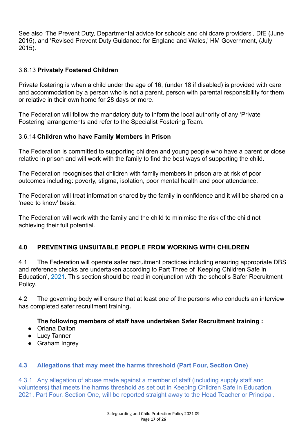See also 'The Prevent Duty, Departmental advice for schools and childcare providers', DfE (June 2015), and 'Revised Prevent Duty Guidance: for England and Wales,' HM Government, (July 2015).

#### 3.6.13 **Privately Fostered Children**

Private fostering is when a child under the age of 16, (under 18 if disabled) is provided with care and accommodation by a person who is not a parent, person with parental responsibility for them or relative in their own home for 28 days or more.

The Federation will follow the mandatory duty to inform the local authority of any 'Private Fostering' arrangements and refer to the Specialist Fostering Team.

#### 3.6.14 **Children who have Family Members in Prison**

The Federation is committed to supporting children and young people who have a parent or close relative in prison and will work with the family to find the best ways of supporting the child.

The Federation recognises that children with family members in prison are at risk of poor outcomes including: poverty, stigma, isolation, poor mental health and poor attendance.

The Federation will treat information shared by the family in confidence and it will be shared on a 'need to know' basis.

The Federation will work with the family and the child to minimise the risk of the child not achieving their full potential.

#### **4.0 PREVENTING UNSUITABLE PEOPLE FROM WORKING WITH CHILDREN**

4.1 The Federation will operate safer recruitment practices including ensuring appropriate DBS and reference checks are undertaken according to Part Three of 'Keeping Children Safe in Education', 2021. This section should be read in conjunction with the school's Safer Recruitment Policy.

4.2 The governing body will ensure that at least one of the persons who conducts an interview has completed safer recruitment training**.**

#### **The following members of staff have undertaken Safer Recruitment training :**

- Oriana Dalton
- Lucy Tanner
- Graham Ingrey

#### **4.3 Allegations that may meet the harms threshold (Part Four, Section One)**

4.3.1 Any allegation of abuse made against a member of staff (including supply staff and volunteers) that meets the harms threshold as set out in Keeping Children Safe in Education, 2021, Part Four, Section One, will be reported straight away to the Head Teacher or Principal.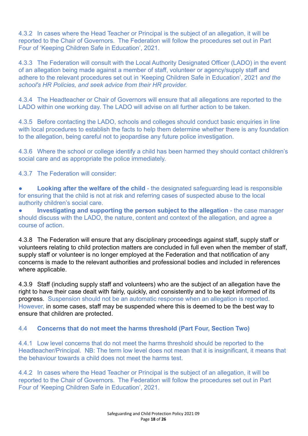4.3.2 In cases where the Head Teacher or Principal is the subject of an allegation, it will be reported to the Chair of Governors. The Federation will follow the procedures set out in Part Four of 'Keeping Children Safe in Education', 2021.

4.3.3 The Federation will consult with the Local Authority Designated Officer (LADO) in the event of an allegation being made against a member of staff, volunteer or agency/supply staff and adhere to the relevant procedures set out in 'Keeping Children Safe in Education', 2021 *and the school's HR Policies, and seek advice from their HR provider.*

4.3.4 The Headteacher or Chair of Governors will ensure that all allegations are reported to the LADO within one working day. The LADO will advise on all further action to be taken.

4.3.5 Before contacting the LADO, schools and colleges should conduct basic enquiries in line with local procedures to establish the facts to help them determine whether there is any foundation to the allegation, being careful not to jeopardise any future police investigation.

4.3.6 Where the school or college identify a child has been harmed they should contact children's social care and as appropriate the police immediately.

4.3.7 The Federation will consider:

**• Looking after the welfare of the child** - the designated safeguarding lead is responsible for ensuring that the child is not at risk and referring cases of suspected abuse to the local authority children's social care.

● **Investigating and supporting the person subject to the allegation** - the case manager should discuss with the LADO, the nature, content and context of the allegation, and agree a course of action.

4.3.8 The Federation will ensure that any disciplinary proceedings against staff, supply staff or volunteers relating to child protection matters are concluded in full even when the member of staff, supply staff or volunteer is no longer employed at the Federation and that notification of any concerns is made to the relevant authorities and professional bodies and included in references where applicable.

4.3.9 Staff (including supply staff and volunteers) who are the subject of an allegation have the right to have their case dealt with fairly, quickly, and consistently and to be kept informed of its progress. Suspension should not be an automatic response when an allegation is reported. However, in some cases, staff may be suspended where this is deemed to be the best way to ensure that children are protected.

#### 4.4 **Concerns that do not meet the harms threshold (Part Four, Section Two)**

4.4.1 Low level concerns that do not meet the harms threshold should be reported to the Headteacher/Principal. NB: The term low level does not mean that it is insignificant, it means that the behaviour towards a child does not meet the harms test.

4.4.2 In cases where the Head Teacher or Principal is the subject of an allegation, it will be reported to the Chair of Governors. The Federation will follow the procedures set out in Part Four of 'Keeping Children Safe in Education', 2021.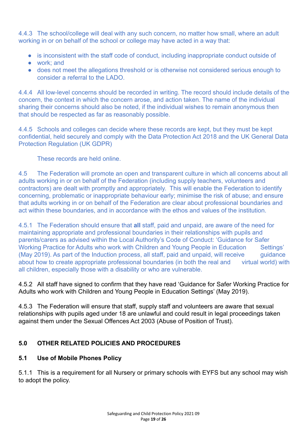4.4.3 The school/college will deal with any such concern, no matter how small, where an adult working in or on behalf of the school or college may have acted in a way that:

- is inconsistent with the staff code of conduct, including inappropriate conduct outside of
- work; and
- does not meet the allegations threshold or is otherwise not considered serious enough to consider a referral to the LADO.

4.4.4 All low-level concerns should be recorded in writing. The record should include details of the concern, the context in which the concern arose, and action taken. The name of the individual sharing their concerns should also be noted, if the individual wishes to remain anonymous then that should be respected as far as reasonably possible.

4.4.5 Schools and colleges can decide where these records are kept, but they must be kept confidential, held securely and comply with the Data Protection Act 2018 and the UK General Data Protection Regulation (UK GDPR)

These records are held online.

4.5 The Federation will promote an open and transparent culture in which all concerns about all adults working in or on behalf of the Federation (including supply teachers, volunteers and contractors) are dealt with promptly and appropriately. This will enable the Federation to identify concerning, problematic or inappropriate behaviour early; minimise the risk of abuse; and ensure that adults working in or on behalf of the Federation are clear about professional boundaries and act within these boundaries, and in accordance with the ethos and values of the institution.

4.5.1 The Federation should ensure that **all** staff, paid and unpaid, are aware of the need for maintaining appropriate and professional boundaries in their relationships with pupils and parents/carers as advised within the Local Authority's Code of Conduct: 'Guidance for Safer Working Practice for Adults who work with Children and Young People in Education Settings' (May 2019). As part of the Induction process, all staff, paid and unpaid, will receive guidance about how to create appropriate professional boundaries (in both the real and virtual world) with all children, especially those with a disability or who are vulnerable.

4.5.2 All staff have signed to confirm that they have read 'Guidance for Safer Working Practice for Adults who work with Children and Young People in Education Settings' (May 2019).

4.5.3 The Federation will ensure that staff, supply staff and volunteers are aware that sexual relationships with pupils aged under 18 are unlawful and could result in legal proceedings taken against them under the Sexual Offences Act 2003 (Abuse of Position of Trust).

#### **5.0 OTHER RELATED POLICIES AND PROCEDURES**

#### **5.1 Use of Mobile Phones Policy**

5.1.1 This is a requirement for all Nursery or primary schools with EYFS but any school may wish to adopt the policy.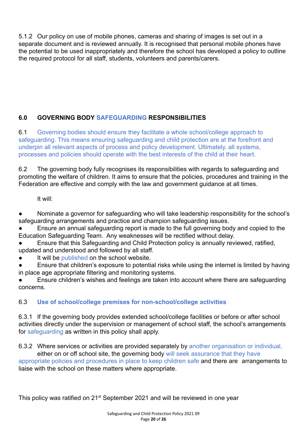5.1.2 Our policy on use of mobile phones, cameras and sharing of images is set out in a separate document and is reviewed annually. It is recognised that personal mobile phones have the potential to be used inappropriately and therefore the school has developed a policy to outline the required protocol for all staff, students, volunteers and parents/carers.

### **6.0 GOVERNING BODY SAFEGUARDING RESPONSIBILITIES**

6.1 Governing bodies should ensure they facilitate a whole school/college approach to safeguarding. This means ensuring safeguarding and child protection are at the forefront and underpin all relevant aspects of process and policy development. Ultimately, all systems, processes and policies should operate with the best interests of the child at their heart.

6.2 The governing body fully recognises its responsibilities with regards to safeguarding and promoting the welfare of children. It aims to ensure that the policies, procedures and training in the Federation are effective and comply with the law and government guidance at all times.

It will:

Nominate a governor for safeguarding who will take leadership responsibility for the school's safeguarding arrangements and practice and champion safeguarding issues.

Ensure an annual safeguarding report is made to the full governing body and copied to the Education Safeguarding Team. Any weaknesses will be rectified without delay.

Ensure that this Safeguarding and Child Protection policy is annually reviewed, ratified, updated and understood and followed by all staff.

It will be published on the school website.

Ensure that children's exposure to potential risks while using the internet is limited by having in place age appropriate filtering and monitoring systems.

Ensure children's wishes and feelings are taken into account where there are safeguarding concerns.

#### 6.3 **Use of school/college premises for non-school/college activities**

6.3.1 If the governing body provides extended school/college facilities or before or after school activities directly under the supervision or management of school staff, the school's arrangements for safeguarding as written in this policy shall apply.

6.3.2 Where services or activities are provided separately by another organisation or individual, either on or off school site, the governing body will seek assurance that they have

appropriate policies and procedures in place to keep children safe and there are arrangements to liaise with the school on these matters where appropriate.

This policy was ratified on 21<sup>st</sup> September 2021 and will be reviewed in one year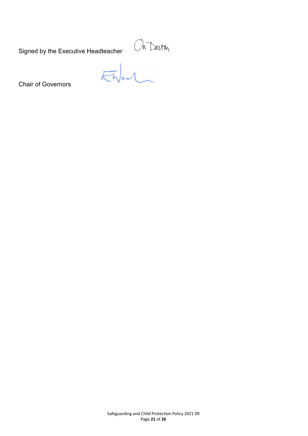Signed by the Executive Headteacher

Chair of Governors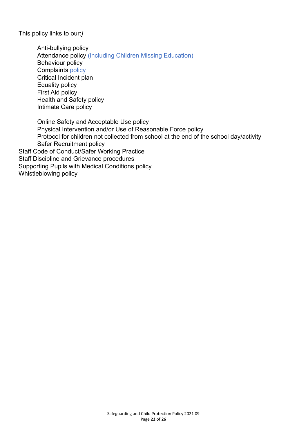This policy links to our:*]*

Anti-bullying policy Attendance policy (including Children Missing Education) Behaviour policy Complaints policy Critical Incident plan Equality policy First Aid policy Health and Safety policy Intimate Care policy

Online Safety and Acceptable Use policy Physical Intervention and/or Use of Reasonable Force policy Protocol for children not collected from school at the end of the school day/activity Safer Recruitment policy Staff Code of Conduct/Safer Working Practice Staff Discipline and Grievance procedures Supporting Pupils with Medical Conditions policy Whistleblowing policy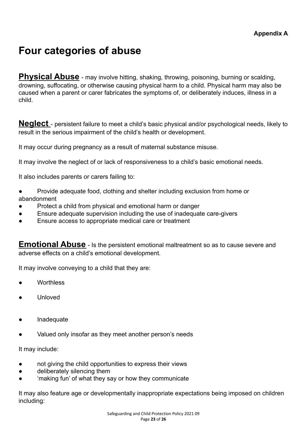# **Four categories of abuse**

**Physical Abuse** - may involve hitting, shaking, throwing, poisoning, burning or scalding, drowning, suffocating, or otherwise causing physical harm to a child. Physical harm may also be caused when a parent or carer fabricates the symptoms of, or deliberately induces, illness in a child.

**Neglect** - persistent failure to meet a child's basic physical and/or psychological needs, likely to result in the serious impairment of the child's health or development.

It may occur during pregnancy as a result of maternal substance misuse.

It may involve the neglect of or lack of responsiveness to a child's basic emotional needs.

It also includes parents or carers failing to:

- Provide adequate food, clothing and shelter including exclusion from home or abandonment
- Protect a child from physical and emotional harm or danger
- Ensure adequate supervision including the use of inadequate care-givers
- Ensure access to appropriate medical care or treatment

**Emotional Abuse** - Is the persistent emotional maltreatment so as to cause severe and adverse effects on a child's emotional development.

It may involve conveying to a child that they are:

- Worthless
- **Unloved**
- **Inadequate**
- Valued only insofar as they meet another person's needs

It may include:

- not giving the child opportunities to express their views
- deliberately silencing them
- 'making fun' of what they say or how they communicate

It may also feature age or developmentally inappropriate expectations being imposed on children including: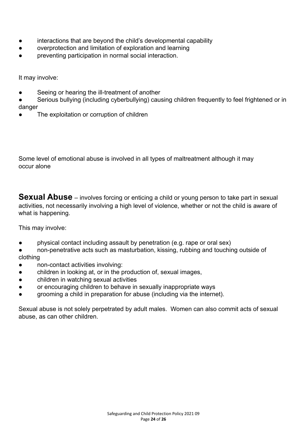- interactions that are beyond the child's developmental capability
- overprotection and limitation of exploration and learning
- preventing participation in normal social interaction.

It may involve:

- Seeing or hearing the ill-treatment of another
- Serious bullying (including cyberbullying) causing children frequently to feel frightened or in danger
- The exploitation or corruption of children

Some level of emotional abuse is involved in all types of maltreatment although it may occur alone

**Sexual Abuse** – involves forcing or enticing a child or young person to take part in sexual activities, not necessarily involving a high level of violence, whether or not the child is aware of what is happening.

This may involve:

physical contact including assault by penetration (e.g. rape or oral sex)

non-penetrative acts such as masturbation, kissing, rubbing and touching outside of clothing

- non-contact activities involving:
- children in looking at, or in the production of, sexual images,
- children in watching sexual activities
- or encouraging children to behave in sexually inappropriate ways
- grooming a child in preparation for abuse (including via the internet).

Sexual abuse is not solely perpetrated by adult males. Women can also commit acts of sexual abuse, as can other children.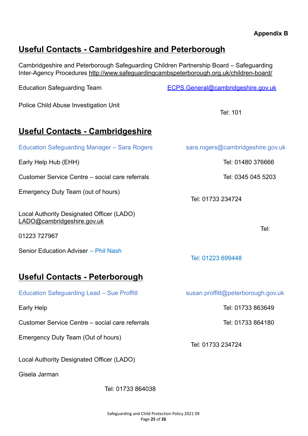#### **Appendix B**

## **Useful Contacts - Cambridgeshire and Peterborough**

Cambridgeshire and Peterborough Safeguarding Children Partnership Board – Safeguarding Inter-Agency Procedures <http://www.safeguardingcambspeterborough.org.uk/children-board/>

Education Safeguarding Team [ECPS.General@cambridgeshire.gov.uk](mailto:ECPS.General@cambridgeshire.gov.uk)

Police Child Abuse Investigation Unit

Tel: 101

## **Useful Contacts - Cambridgeshire**

| Education Safeguarding Manager - Sara Rogers                                            | sara.rogers@cambridgeshire.gov.uk  |
|-----------------------------------------------------------------------------------------|------------------------------------|
| Early Help Hub (EHH)                                                                    | Tel: 01480 376666                  |
| Customer Service Centre – social care referrals                                         | Tel: 0345 045 5203                 |
| Emergency Duty Team (out of hours)                                                      | Tel: 01733 234724                  |
| Local Authority Designated Officer (LADO)<br>LADO@cambridgeshire.gov.uk<br>01223 727967 | Tel:                               |
| Senior Education Adviser - Phil Nash                                                    | Tel: 01223 699448                  |
| Useful Contacts - Peterborough                                                          |                                    |
| <b>Education Safeguarding Lead - Sue Proffitt</b>                                       | susan.proffitt@peterborough.gov.uk |
| Early Help                                                                              | Tel: 01733 863649                  |
| Customer Service Centre – social care referrals                                         | Tel: 01733 864180                  |
| Emergency Duty Team (Out of hours)                                                      | Tel: 01733 234724                  |

Local Authority Designated Officer (LADO)

Gisela Jarman

Tel: 01733 864038